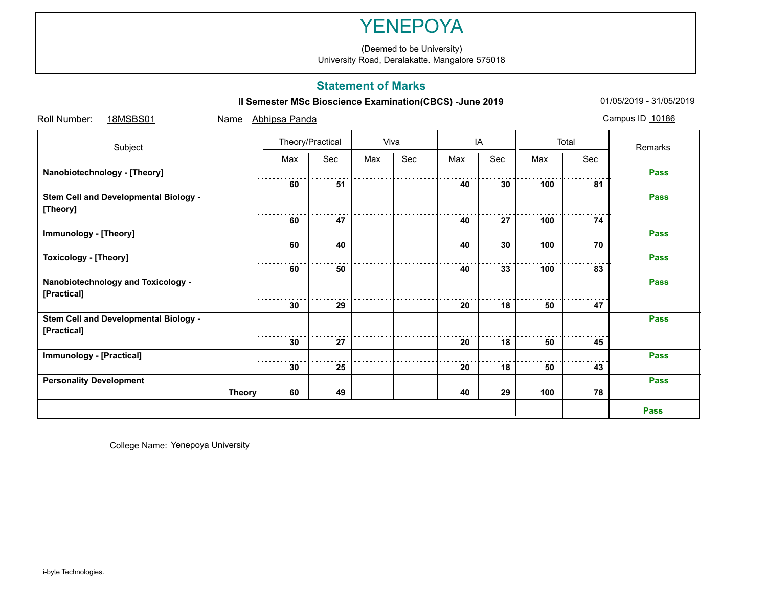# YENEPOYA

(Deemed to be University) University Road, Deralakatte. Mangalore 575018

### **Statement of Marks**

**II Semester MSc Bioscience Examination(CBCS) -June 2019** 01/05/2019 - 31/05/2019

| Roll Number:<br>18MSBS01<br>Name      | Abhipsa Panda    |     |      |     |     |     |       |     | Campus ID 10186 |
|---------------------------------------|------------------|-----|------|-----|-----|-----|-------|-----|-----------------|
| Subject                               | Theory/Practical |     | Viva |     | IA  |     | Total |     | Remarks         |
|                                       | Max              | Sec | Max  | Sec | Max | Sec | Max   | Sec |                 |
| Nanobiotechnology - [Theory]          |                  |     |      |     |     |     |       |     | <b>Pass</b>     |
|                                       | 60               | 51  |      |     | 40  | 30  | 100   | 81  |                 |
| Stem Cell and Developmental Biology - |                  |     |      |     |     |     |       |     | <b>Pass</b>     |
| [Theory]                              |                  |     |      |     |     |     |       |     |                 |
|                                       | 60               | 47  |      |     | 40  | 27  | 100   | 74  |                 |
| Immunology - [Theory]                 |                  |     |      |     |     |     |       |     | <b>Pass</b>     |
|                                       | 60               | 40  |      |     | 40  | 30  | 100   | 70  |                 |
| <b>Toxicology - [Theory]</b>          |                  |     |      |     |     |     |       |     | <b>Pass</b>     |
|                                       | 60               | 50  |      |     | 40  | 33  | 100   | 83  |                 |
| Nanobiotechnology and Toxicology -    |                  |     |      |     |     |     |       |     | <b>Pass</b>     |
| [Practical]                           |                  |     |      |     |     |     |       |     |                 |
|                                       | 30               | 29  |      |     | 20  | 18  | 50    | 47  |                 |
| Stem Cell and Developmental Biology - |                  |     |      |     |     |     |       |     | <b>Pass</b>     |
| [Practical]                           |                  |     |      |     |     |     |       |     |                 |
|                                       | 30               | 27  |      |     | 20  | 18  | 50    | 45  |                 |
| <b>Immunology - [Practical]</b>       |                  |     |      |     |     |     |       |     | <b>Pass</b>     |
|                                       | 30               | 25  |      |     | 20  | 18  | 50    | 43  |                 |
| <b>Personality Development</b>        |                  |     |      |     |     |     |       |     | <b>Pass</b>     |
| <b>Theory</b>                         | 60               | 49  |      |     | 40  | 29  | 100   | 78  |                 |
|                                       |                  |     |      |     |     |     |       |     | <b>Pass</b>     |

College Name: Yenepoya University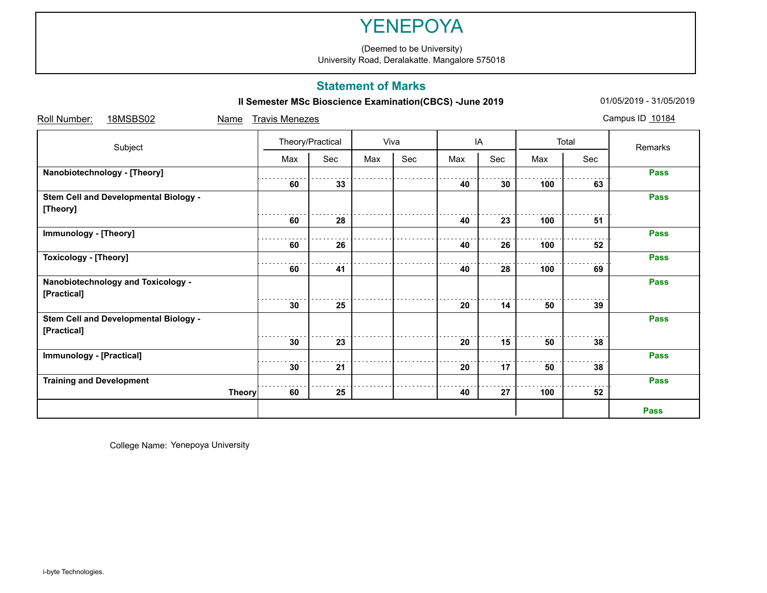# YENEPOYA

University Road, Deralakatte. Mangalore 575018

### **Statement of Marks**

**II Semester MSc Bioscience Examination(CBCS) -June 2019** 01/05/2019 - 31/05/2019

| Roll Number:<br>18MSBS02<br>Name      | <b>Travis Menezes</b> |     |      |     |     |     |       |     | Campus ID 10184 |
|---------------------------------------|-----------------------|-----|------|-----|-----|-----|-------|-----|-----------------|
| Subject                               | Theory/Practical      |     | Viva |     | IA  |     | Total |     | Remarks         |
|                                       | Max                   | Sec | Max  | Sec | Max | Sec | Max   | Sec |                 |
| Nanobiotechnology - [Theory]          |                       |     |      |     |     |     |       |     | <b>Pass</b>     |
|                                       | 60                    | 33  |      |     | 40  | 30  | 100   | 63  |                 |
| Stem Cell and Developmental Biology - |                       |     |      |     |     |     |       |     | <b>Pass</b>     |
| [Theory]                              |                       |     |      |     |     |     |       |     |                 |
|                                       | 60                    | 28  |      |     | 40  | 23  | 100   | 51  |                 |
| Immunology - [Theory]                 |                       |     |      |     |     |     |       |     | <b>Pass</b>     |
|                                       | 60                    | 26  |      |     | 40  | 26  | 100   | 52  |                 |
| <b>Toxicology - [Theory]</b>          |                       |     |      |     |     |     |       |     | <b>Pass</b>     |
|                                       | 60                    | 41  |      |     | 40  | 28  | 100   | 69  |                 |
| Nanobiotechnology and Toxicology -    |                       |     |      |     |     |     |       |     | <b>Pass</b>     |
| [Practical]                           |                       |     |      |     |     |     |       |     |                 |
|                                       | 30                    | 25  |      |     | 20  | 14  | 50    | 39  |                 |
| Stem Cell and Developmental Biology - |                       |     |      |     |     |     |       |     | <b>Pass</b>     |
| [Practical]                           |                       |     |      |     |     |     |       |     |                 |
|                                       | 30                    | 23  |      |     | 20  | 15  | 50    | 38  |                 |
| <b>Immunology - [Practical]</b>       |                       |     |      |     |     |     |       |     | <b>Pass</b>     |
|                                       | 30                    | 21  |      |     | 20  | 17  | 50    | 38  |                 |
| <b>Training and Development</b>       |                       |     |      |     |     |     |       |     | <b>Pass</b>     |
| <b>Theory</b>                         | 60                    | 25  |      |     | 40  | 27  | 100   | 52  |                 |
|                                       |                       |     |      |     |     |     |       |     | <b>Pass</b>     |

College Name: Yenepoya University

(Deemed to be University)